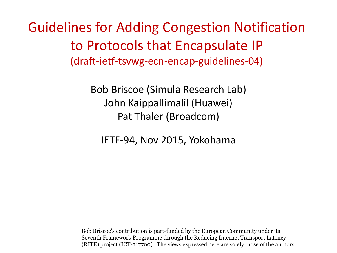Guidelines for Adding Congestion Notification to Protocols that Encapsulate IP (draft-ietf-tsvwg-ecn-encap-guidelines-04)

> Bob Briscoe (Simula Research Lab) John Kaippallimalil (Huawei) Pat Thaler (Broadcom)

IETF-94, Nov 2015, Yokohama

Bob Briscoe's contribution is part-funded by the European Community under its Seventh Framework Programme through the Reducing Internet Transport Latency (RITE) project (ICT-317700). The views expressed here are solely those of the authors.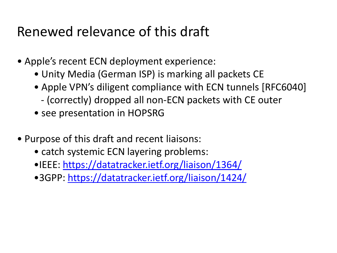# Renewed relevance of this draft

- Apple's recent ECN deployment experience:
	- Unity Media (German ISP) is marking all packets CE
	- Apple VPN's diligent compliance with ECN tunnels [RFC6040]
		- (correctly) dropped all non-ECN packets with CE outer
	- see presentation in HOPSRG
- Purpose of this draft and recent liaisons:
	- catch systemic ECN layering problems:
	- •IEEE:<https://datatracker.ietf.org/liaison/1364/>
	- •3GPP: <https://datatracker.ietf.org/liaison/1424/>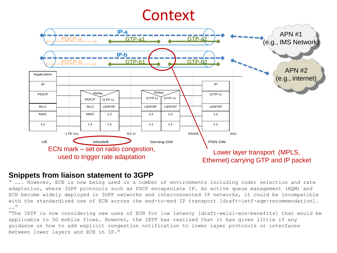### **Context**



#### **Snippets from liaison statement to 3GPP**

" ….. However, ECN is now being used in a number of environments including coder selection and rate adaptation, where 3GPP protocols such as PDCP encapsulate IP. As active queue management (AQM) and ECN become widely deployed in 3GPP networks and interconnected IP networks, it could be incompatible with the standardized use of ECN across the end-to-end IP transport [draft-ietf-agm-recommendation]. ……"

"The IETF is now considering new uses of ECN for low latency [draft-welzl-ecn-benefits] that would be applicable to 5G mobile flows. However, the IETF has realized that it has given little if any guidance on how to add explicit congestion notification to lower layer protocols or interfaces between lower layers and ECN in IP."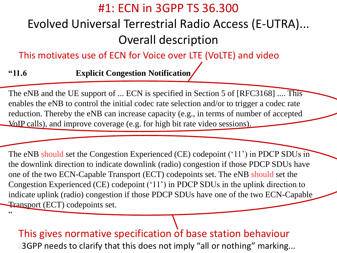#### #1: ECN in 3GPP TS 36.300

#### Evolved Universal Terrestrial Radio Access (E-UTRA)... Overall description

This motivates use of ECN for Voice over LTE (VoLTE) and video

**"11.6 Explicit Congestion Notification**

"

The eNB and the UE support of ... ECN is specified in Section 5 of [RFC3168] .... This enables the eNB to control the initial codec rate selection and/or to trigger a codec rate reduction. Thereby the eNB can increase capacity (e.g., in terms of number of accepted VoIP calls), and improve coverage (e.g. for high bit rate video sessions).

The eNB should set the Congestion Experienced (CE) codepoint ('11') in PDCP SDUs in the downlink direction to indicate downlink (radio) congestion if those PDCP SDUs have one of the two ECN-Capable Transport (ECT) codepoints set. The eNB should set the Congestion Experienced (CE) codepoint ('11') in PDCP SDUs in the uplink direction to indicate uplink (radio) congestion if those PDCP SDUs have one of the two ECN-Capable Transport (ECT) codepoints set.

This gives normative specification of base station behaviour □3GPP needs to clarify that this does not imply "all or nothing" marking...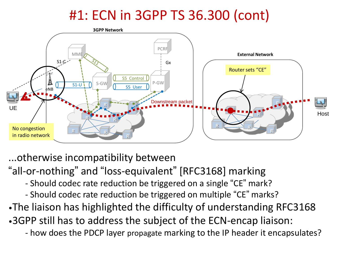# #1: ECN in 3GPP TS 36.300 (cont)



...otherwise incompatibility between "all-or-nothing" and "loss-equivalent" [RFC3168] marking - Should codec rate reduction be triggered on a single "CE" mark? - Should codec rate reduction be triggered on multiple "CE" marks? •The liaison has highlighted the difficulty of understanding RFC3168 •3GPP still has to address the subject of the ECN-encap liaison: - how does the PDCP layer propagate marking to the IP header it encapsulates?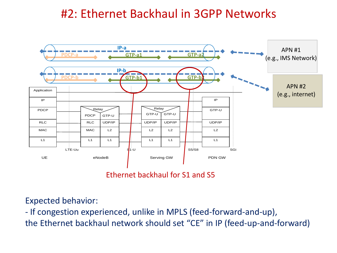#### #2: Ethernet Backhaul in 3GPP Networks



Ethernet backhaul for S1 and S5

Expected behavior:

- If congestion experienced, unlike in MPLS (feed-forward-and-up), the Ethernet backhaul network should set "CE" in IP (feed-up-and-forward)